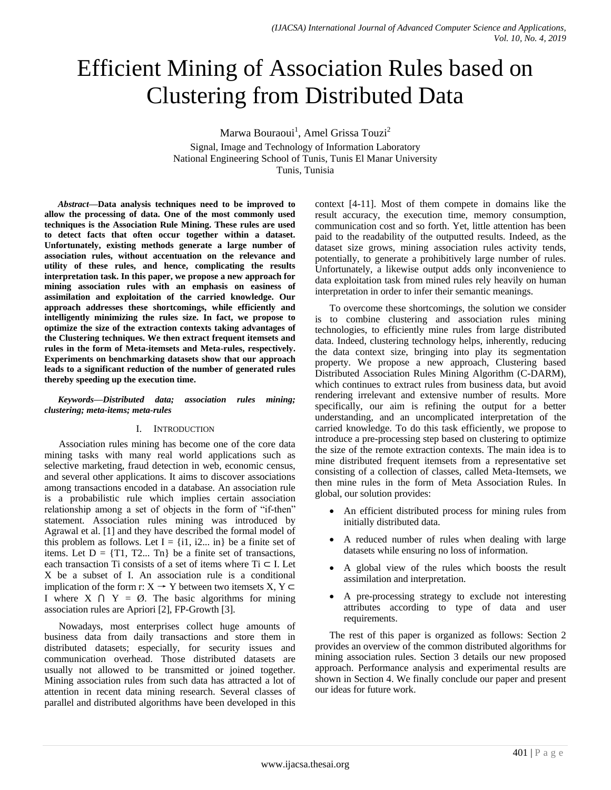# Efficient Mining of Association Rules based on Clustering from Distributed Data

Marwa Bouraoui<sup>1</sup>, Amel Grissa Touzi<sup>2</sup>

Signal, Image and Technology of Information Laboratory National Engineering School of Tunis, Tunis El Manar University Tunis, Tunisia

*Abstract***—Data analysis techniques need to be improved to allow the processing of data. One of the most commonly used techniques is the Association Rule Mining. These rules are used to detect facts that often occur together within a dataset. Unfortunately, existing methods generate a large number of association rules, without accentuation on the relevance and utility of these rules, and hence, complicating the results interpretation task. In this paper, we propose a new approach for mining association rules with an emphasis on easiness of assimilation and exploitation of the carried knowledge. Our approach addresses these shortcomings, while efficiently and intelligently minimizing the rules size. In fact, we propose to optimize the size of the extraction contexts taking advantages of the Clustering techniques. We then extract frequent itemsets and rules in the form of Meta-itemsets and Meta-rules, respectively. Experiments on benchmarking datasets show that our approach leads to a significant reduction of the number of generated rules thereby speeding up the execution time.**

#### *Keywords—Distributed data; association rules mining; clustering; meta-items; meta-rules*

## I. INTRODUCTION

Association rules mining has become one of the core data mining tasks with many real world applications such as selective marketing, fraud detection in web, economic census, and several other applications. It aims to discover associations among transactions encoded in a database. An association rule is a probabilistic rule which implies certain association relationship among a set of objects in the form of "if-then" statement. Association rules mining was introduced by Agrawal et al. [1] and they have described the formal model of this problem as follows. Let  $I = \{i1, i2... \in \mathbb{R}\}$  be a finite set of items. Let  $D = \{T1, T2... \text{ } Tn\}$  be a finite set of transactions, each transaction Ti consists of a set of items where Ti  $\subset$  I. Let X be a subset of I. An association rule is a conditional implication of the form r:  $X \rightarrow Y$  between two itemsets  $X, Y \subset Y$ I where  $X \cap Y = \emptyset$ . The basic algorithms for mining association rules are Apriori [2], FP-Growth [3].

Nowadays, most enterprises collect huge amounts of business data from daily transactions and store them in distributed datasets; especially, for security issues and communication overhead. Those distributed datasets are usually not allowed to be transmitted or joined together. Mining association rules from such data has attracted a lot of attention in recent data mining research. Several classes of parallel and distributed algorithms have been developed in this context [4-11]. Most of them compete in domains like the result accuracy, the execution time, memory consumption, communication cost and so forth. Yet, little attention has been paid to the readability of the outputted results. Indeed, as the dataset size grows, mining association rules activity tends, potentially, to generate a prohibitively large number of rules. Unfortunately, a likewise output adds only inconvenience to data exploitation task from mined rules rely heavily on human interpretation in order to infer their semantic meanings.

To overcome these shortcomings, the solution we consider is to combine clustering and association rules mining technologies, to efficiently mine rules from large distributed data. Indeed, clustering technology helps, inherently, reducing the data context size, bringing into play its segmentation property. We propose a new approach, Clustering based Distributed Association Rules Mining Algorithm (C-DARM), which continues to extract rules from business data, but avoid rendering irrelevant and extensive number of results. More specifically, our aim is refining the output for a better understanding, and an uncomplicated interpretation of the carried knowledge. To do this task efficiently, we propose to introduce a pre-processing step based on clustering to optimize the size of the remote extraction contexts. The main idea is to mine distributed frequent itemsets from a representative set consisting of a collection of classes, called Meta-Itemsets, we then mine rules in the form of Meta Association Rules. In global, our solution provides:

- An efficient distributed process for mining rules from initially distributed data.
- A reduced number of rules when dealing with large datasets while ensuring no loss of information.
- A global view of the rules which boosts the result assimilation and interpretation.
- A pre-processing strategy to exclude not interesting attributes according to type of data and user requirements.

The rest of this paper is organized as follows: Section 2 provides an overview of the common distributed algorithms for mining association rules. Section 3 details our new proposed approach. Performance analysis and experimental results are shown in Section 4. We finally conclude our paper and present our ideas for future work.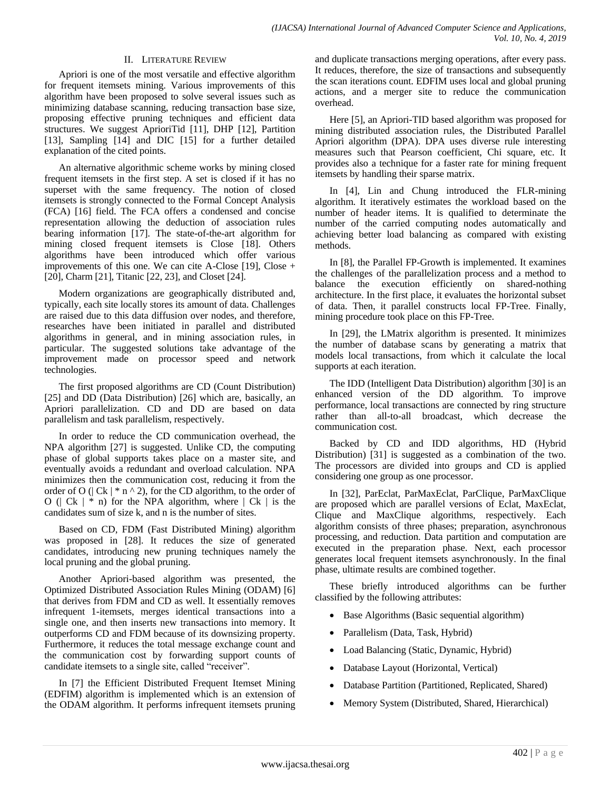## II. LITERATURE REVIEW

Apriori is one of the most versatile and effective algorithm for frequent itemsets mining. Various improvements of this algorithm have been proposed to solve several issues such as minimizing database scanning, reducing transaction base size, proposing effective pruning techniques and efficient data structures. We suggest AprioriTid [11], DHP [12], Partition [13], Sampling [14] and DIC [15] for a further detailed explanation of the cited points.

An alternative algorithmic scheme works by mining closed frequent itemsets in the first step. A set is closed if it has no superset with the same frequency. The notion of closed itemsets is strongly connected to the Formal Concept Analysis (FCA) [16] field. The FCA offers a condensed and concise representation allowing the deduction of association rules bearing information [17]. The state-of-the-art algorithm for mining closed frequent itemsets is Close [18]. Others algorithms have been introduced which offer various improvements of this one. We can cite A-Close  $[19]$ , Close + [20], Charm [21], Titanic [22, 23], and Closet [24].

Modern organizations are geographically distributed and, typically, each site locally stores its amount of data. Challenges are raised due to this data diffusion over nodes, and therefore, researches have been initiated in parallel and distributed algorithms in general, and in mining association rules, in particular. The suggested solutions take advantage of the improvement made on processor speed and network technologies.

The first proposed algorithms are CD (Count Distribution) [25] and DD (Data Distribution) [26] which are, basically, an Apriori parallelization. CD and DD are based on data parallelism and task parallelism, respectively.

In order to reduce the CD communication overhead, the NPA algorithm [27] is suggested. Unlike CD, the computing phase of global supports takes place on a master site, and eventually avoids a redundant and overload calculation. NPA minimizes then the communication cost, reducing it from the order of O ( $|Ck| * n \wedge 2$ ), for the CD algorithm, to the order of O ( $| Ck | * n$ ) for the NPA algorithm, where  $| Ck |$  is the candidates sum of size k, and n is the number of sites.

Based on CD, FDM (Fast Distributed Mining) algorithm was proposed in [28]. It reduces the size of generated candidates, introducing new pruning techniques namely the local pruning and the global pruning.

Another Apriori-based algorithm was presented, the Optimized Distributed Association Rules Mining (ODAM) [6] that derives from FDM and CD as well. It essentially removes infrequent 1-itemsets, merges identical transactions into a single one, and then inserts new transactions into memory. It outperforms CD and FDM because of its downsizing property. Furthermore, it reduces the total message exchange count and the communication cost by forwarding support counts of candidate itemsets to a single site, called "receiver".

In [7] the Efficient Distributed Frequent Itemset Mining (EDFIM) algorithm is implemented which is an extension of the ODAM algorithm. It performs infrequent itemsets pruning and duplicate transactions merging operations, after every pass. It reduces, therefore, the size of transactions and subsequently the scan iterations count. EDFIM uses local and global pruning actions, and a merger site to reduce the communication overhead.

Here [5], an Apriori-TID based algorithm was proposed for mining distributed association rules, the Distributed Parallel Apriori algorithm (DPA). DPA uses diverse rule interesting measures such that Pearson coefficient, Chi square, etc. It provides also a technique for a faster rate for mining frequent itemsets by handling their sparse matrix.

In [4], Lin and Chung introduced the FLR-mining algorithm. It iteratively estimates the workload based on the number of header items. It is qualified to determinate the number of the carried computing nodes automatically and achieving better load balancing as compared with existing methods.

In [8], the Parallel FP-Growth is implemented. It examines the challenges of the parallelization process and a method to balance the execution efficiently on shared-nothing architecture. In the first place, it evaluates the horizontal subset of data. Then, it parallel constructs local FP-Tree. Finally, mining procedure took place on this FP-Tree.

In [29], the LMatrix algorithm is presented. It minimizes the number of database scans by generating a matrix that models local transactions, from which it calculate the local supports at each iteration.

The IDD (Intelligent Data Distribution) algorithm [30] is an enhanced version of the DD algorithm. To improve performance, local transactions are connected by ring structure rather than all-to-all broadcast, which decrease the communication cost.

Backed by CD and IDD algorithms, HD (Hybrid Distribution) [31] is suggested as a combination of the two. The processors are divided into groups and CD is applied considering one group as one processor.

In [32], ParEclat, ParMaxEclat, ParClique, ParMaxClique are proposed which are parallel versions of Eclat, MaxEclat, Clique and MaxClique algorithms, respectively. Each algorithm consists of three phases; preparation, asynchronous processing, and reduction. Data partition and computation are executed in the preparation phase. Next, each processor generates local frequent itemsets asynchronously. In the final phase, ultimate results are combined together.

These briefly introduced algorithms can be further classified by the following attributes:

- Base Algorithms (Basic sequential algorithm)
- Parallelism (Data, Task, Hybrid)
- Load Balancing (Static, Dynamic, Hybrid)
- Database Layout (Horizontal, Vertical)
- Database Partition (Partitioned, Replicated, Shared)
- Memory System (Distributed, Shared, Hierarchical)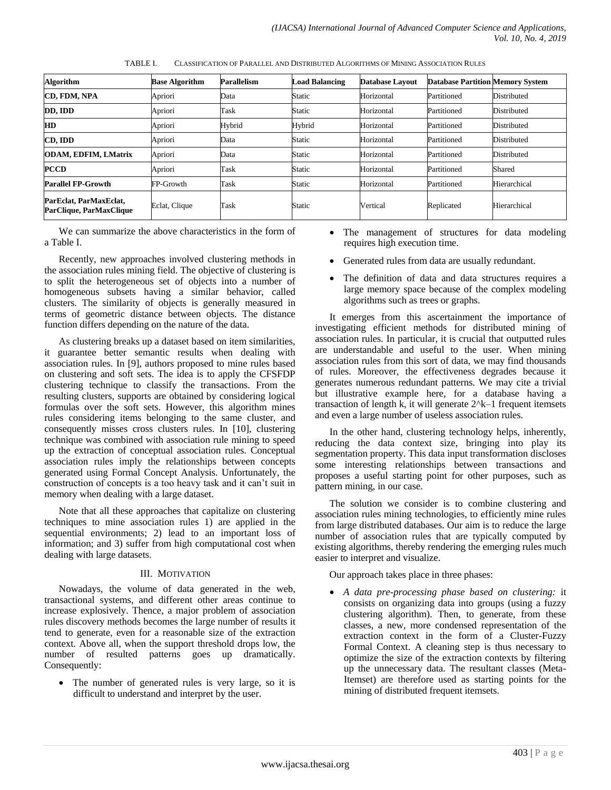| <b>Algorithm</b>                                  | <b>Base Algorithm</b> | <b>Parallelism</b> | <b>Load Balancing</b> | <b>Database Lavout</b> | <b>Database Partition Memory System</b> |              |
|---------------------------------------------------|-----------------------|--------------------|-----------------------|------------------------|-----------------------------------------|--------------|
| <b>CD. FDM. NPA</b>                               | Apriori               | Data               | Static                | Horizontal             | Partitioned                             | Distributed  |
| DD, IDD                                           | Apriori               | Task               | Static                | Horizontal             | Partitioned                             | Distributed  |
| HD                                                | Apriori               | Hybrid             | Hybrid                | Horizontal             | Partitioned                             | Distributed  |
| CD. IDD                                           | Apriori               | Data               | Static                | Horizontal             | Partitioned                             | Distributed  |
| <b>ODAM, EDFIM, LMatrix</b>                       | Apriori               | Data               | Static                | Horizontal             | Partitioned                             | Distributed  |
| <b>PCCD</b>                                       | Apriori               | Task               | Static                | Horizontal             | Partitioned                             | Shared       |
| <b>Parallel FP-Growth</b>                         | FP-Growth             | Task               | Static                | Horizontal             | Partitioned                             | Hierarchical |
| ParEclat, ParMaxEclat,<br>ParClique, ParMaxClique | Eclat, Clique         | Task               | Static                | Vertical               | Replicated                              | Hierarchical |

TABLE I. CLASSIFICATION OF PARALLEL AND DISTRIBUTED ALGORITHMS OF MINING ASSOCIATION RULES

We can summarize the above characteristics in the form of a Table I.

Recently, new approaches involved clustering methods in the association rules mining field. The objective of clustering is to split the heterogeneous set of objects into a number of homogeneous subsets having a similar behavior, called clusters. The similarity of objects is generally measured in terms of geometric distance between objects. The distance function differs depending on the nature of the data.

As clustering breaks up a dataset based on item similarities, it guarantee better semantic results when dealing with association rules. In [9], authors proposed to mine rules based on clustering and soft sets. The idea is to apply the CFSFDP clustering technique to classify the transactions. From the resulting clusters, supports are obtained by considering logical formulas over the soft sets. However, this algorithm mines rules considering items belonging to the same cluster, and consequently misses cross clusters rules. In [10], clustering technique was combined with association rule mining to speed up the extraction of conceptual association rules. Conceptual association rules imply the relationships between concepts generated using Formal Concept Analysis. Unfortunately, the construction of concepts is a too heavy task and it can"t suit in memory when dealing with a large dataset.

Note that all these approaches that capitalize on clustering techniques to mine association rules 1) are applied in the sequential environments; 2) lead to an important loss of information; and 3) suffer from high computational cost when dealing with large datasets.

## III. MOTIVATION

Nowadays, the volume of data generated in the web, transactional systems, and different other areas continue to increase explosively. Thence, a major problem of association rules discovery methods becomes the large number of results it tend to generate, even for a reasonable size of the extraction context. Above all, when the support threshold drops low, the number of resulted patterns goes up dramatically. Consequently:

• The number of generated rules is very large, so it is difficult to understand and interpret by the user.

- The management of structures for data modeling requires high execution time.
- Generated rules from data are usually redundant.
- The definition of data and data structures requires a large memory space because of the complex modeling algorithms such as trees or graphs.

It emerges from this ascertainment the importance of investigating efficient methods for distributed mining of association rules. In particular, it is crucial that outputted rules are understandable and useful to the user. When mining association rules from this sort of data, we may find thousands of rules. Moreover, the effectiveness degrades because it generates numerous redundant patterns. We may cite a trivial but illustrative example here, for a database having a transaction of length k, it will generate 2^k–1 frequent itemsets and even a large number of useless association rules.

In the other hand, clustering technology helps, inherently, reducing the data context size, bringing into play its segmentation property. This data input transformation discloses some interesting relationships between transactions and proposes a useful starting point for other purposes, such as pattern mining, in our case.

The solution we consider is to combine clustering and association rules mining technologies, to efficiently mine rules from large distributed databases. Our aim is to reduce the large number of association rules that are typically computed by existing algorithms, thereby rendering the emerging rules much easier to interpret and visualize.

Our approach takes place in three phases:

 *A data pre-processing phase based on clustering:* it consists on organizing data into groups (using a fuzzy clustering algorithm). Then, to generate, from these classes, a new, more condensed representation of the extraction context in the form of a Cluster-Fuzzy Formal Context. A cleaning step is thus necessary to optimize the size of the extraction contexts by filtering up the unnecessary data. The resultant classes (Meta-Itemset) are therefore used as starting points for the mining of distributed frequent itemsets.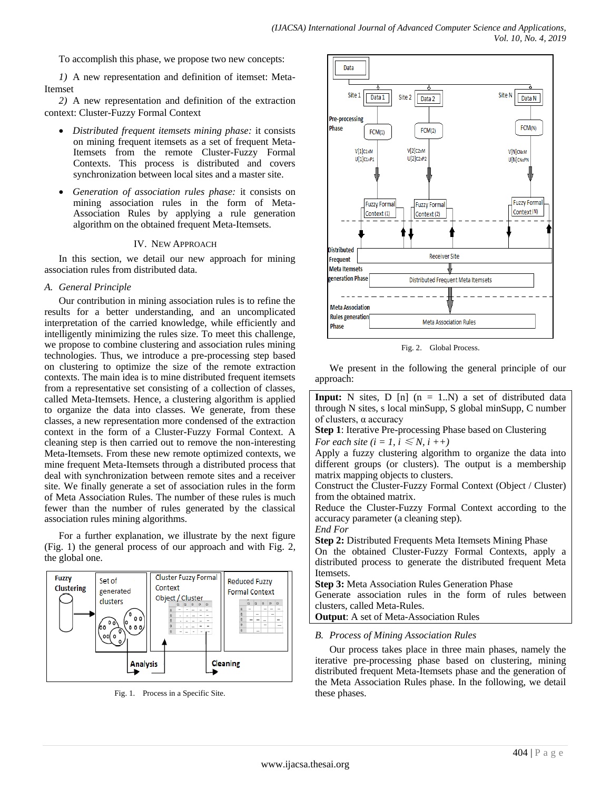To accomplish this phase, we propose two new concepts:

*1)* A new representation and definition of itemset: Meta-Itemset

*2)* A new representation and definition of the extraction context: Cluster-Fuzzy Formal Context

- *Distributed frequent itemsets mining phase:* it consists on mining frequent itemsets as a set of frequent Meta-Itemsets from the remote Cluster-Fuzzy Formal Contexts. This process is distributed and covers synchronization between local sites and a master site.
- *Generation of association rules phase:* it consists on mining association rules in the form of Meta-Association Rules by applying a rule generation algorithm on the obtained frequent Meta-Itemsets.

#### IV. NEW APPROACH

In this section, we detail our new approach for mining association rules from distributed data.

#### *A. General Principle*

Our contribution in mining association rules is to refine the results for a better understanding, and an uncomplicated interpretation of the carried knowledge, while efficiently and intelligently minimizing the rules size. To meet this challenge, we propose to combine clustering and association rules mining technologies. Thus, we introduce a pre-processing step based on clustering to optimize the size of the remote extraction contexts. The main idea is to mine distributed frequent itemsets from a representative set consisting of a collection of classes, called Meta-Itemsets. Hence, a clustering algorithm is applied to organize the data into classes. We generate, from these classes, a new representation more condensed of the extraction context in the form of a Cluster-Fuzzy Formal Context. A cleaning step is then carried out to remove the non-interesting Meta-Itemsets. From these new remote optimized contexts, we mine frequent Meta-Itemsets through a distributed process that deal with synchronization between remote sites and a receiver site. We finally generate a set of association rules in the form of Meta Association Rules. The number of these rules is much fewer than the number of rules generated by the classical association rules mining algorithms.

For a further explanation, we illustrate by the next figure (Fig. 1) the general process of our approach and with Fig. 2, the global one.



Fig. 1. Process in a Specific Site.



Fig. 2. Global Process.

We present in the following the general principle of our approach:

**Input:** N sites,  $D \left[ n \right]$  ( $n = 1..N$ ) a set of distributed data through N sites, s local minSupp, S global minSupp, C number of clusters, α accuracy

**Step 1**: Iterative Pre-processing Phase based on Clustering

*For each site (i = 1, i*  $\leq N$ *, i ++)* 

Apply a fuzzy clustering algorithm to organize the data into different groups (or clusters). The output is a membership matrix mapping objects to clusters.

Construct the Cluster-Fuzzy Formal Context (Object / Cluster) from the obtained matrix.

Reduce the Cluster-Fuzzy Formal Context according to the accuracy parameter (a cleaning step).

*End For*

**Step 2:** Distributed Frequents Meta Itemsets Mining Phase

On the obtained Cluster-Fuzzy Formal Contexts, apply a distributed process to generate the distributed frequent Meta Itemsets.

**Step 3:** Meta Association Rules Generation Phase Generate association rules in the form of rules between clusters, called Meta-Rules.

**Output**: A set of Meta-Association Rules

## *B. Process of Mining Association Rules*

Our process takes place in three main phases, namely the iterative pre-processing phase based on clustering, mining distributed frequent Meta-Itemsets phase and the generation of the Meta Association Rules phase. In the following, we detail these phases.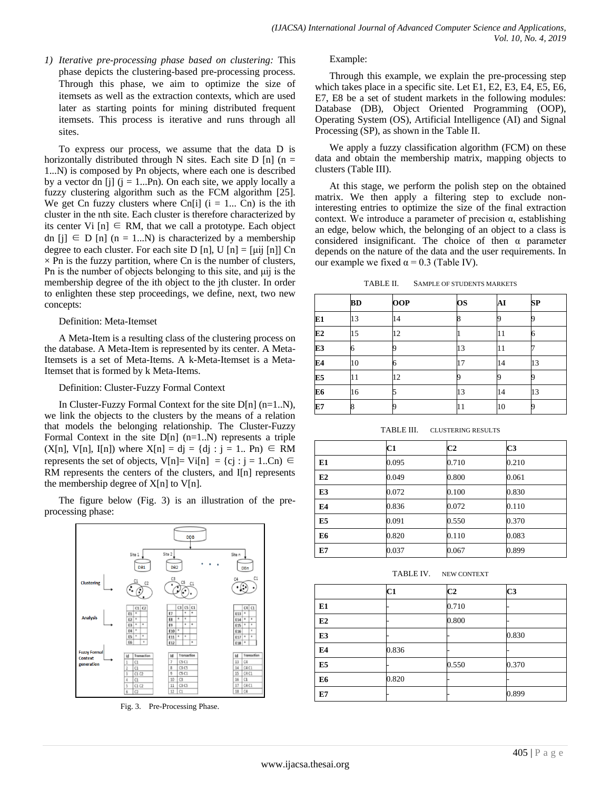*1) Iterative pre-processing phase based on clustering:* This phase depicts the clustering-based pre-processing process. Through this phase, we aim to optimize the size of itemsets as well as the extraction contexts, which are used later as starting points for mining distributed frequent itemsets. This process is iterative and runs through all sites.

To express our process, we assume that the data D is horizontally distributed through N sites. Each site D [n] ( $n =$ 1...N) is composed by Pn objects, where each one is described by a vector dn [j]  $(j = 1...Pn)$ . On each site, we apply locally a fuzzy clustering algorithm such as the FCM algorithm [25]. We get Cn fuzzy clusters where Cn[i]  $(i = 1... Cn)$  is the ith cluster in the nth site. Each cluster is therefore characterized by its center Vi  $[n] \in RM$ , that we call a prototype. Each object dn [j]  $\in$  D [n] (n = 1...N) is characterized by a membership degree to each cluster. For each site D [n], U [n] = [ $\mu$ ij [n]] Cn  $\times$  Pn is the fuzzy partition, where Cn is the number of clusters, Pn is the number of objects belonging to this site, and μij is the membership degree of the ith object to the jth cluster. In order to enlighten these step proceedings, we define, next, two new concepts:

#### Definition: Meta-Itemset

A Meta-Item is a resulting class of the clustering process on the database. A Meta-Item is represented by its center. A Meta-Itemsets is a set of Meta-Items. A k-Meta-Itemset is a Meta-Itemset that is formed by k Meta-Items.

#### Definition: Cluster-Fuzzy Formal Context

In Cluster-Fuzzy Formal Context for the site D[n] (n=1..N), we link the objects to the clusters by the means of a relation that models the belonging relationship. The Cluster-Fuzzy Formal Context in the site  $D[n]$  (n=1..N) represents a triple  $(X[n], V[n], I[n])$  where  $X[n] = dj = {dj : j = 1.. Pn} ∈ RM$ represents the set of objects, V[n]= Vi[n] = {cj : j = 1..Cn)  $\in$ RM represents the centers of the clusters, and I[n] represents the membership degree of  $X[n]$  to  $V[n]$ .

The figure below (Fig. 3) is an illustration of the preprocessing phase:



Fig. 3. Pre-Processing Phase.

Example:

Through this example, we explain the pre-processing step which takes place in a specific site. Let E1, E2, E3, E4, E5, E6, E7, E8 be a set of student markets in the following modules: Database (DB), Object Oriented Programming (OOP), Operating System (OS), Artificial Intelligence (AI) and Signal Processing (SP), as shown in the Table II.

We apply a fuzzy classification algorithm (FCM) on these data and obtain the membership matrix, mapping objects to clusters (Table III).

At this stage, we perform the polish step on the obtained matrix. We then apply a filtering step to exclude noninteresting entries to optimize the size of the final extraction context. We introduce a parameter of precision α, establishing an edge, below which, the belonging of an object to a class is considered insignificant. The choice of then α parameter depends on the nature of the data and the user requirements. In our example we fixed  $α = 0.3$  (Table IV).

TABLE II. SAMPLE OF STUDENTS MARKETS

|                | <b>BD</b> | <b>OOP</b> | <b>OS</b> | AI | <b>SP</b> |
|----------------|-----------|------------|-----------|----|-----------|
| E <sub>1</sub> | 13        | 14         |           |    |           |
| E2             | 15        | 12         |           | 11 | 6         |
| E3             |           |            | 13        | 11 |           |
| E4             | 10        |            | 17        | 14 | 13        |
| E5             | 11        | 12         |           |    |           |
| E <sub>6</sub> | 16        |            | 13        | 14 | 13        |
| E7             | 8         |            | 11        | 10 |           |

TABLE III. CLUSTERING RESULTS

|                | C1    | C <sub>2</sub> | C3    |
|----------------|-------|----------------|-------|
| E1             | 0.095 | 0.710          | 0.210 |
| E2             | 0.049 | 0.800          | 0.061 |
| E3             | 0.072 | 0.100          | 0.830 |
| E <sub>4</sub> | 0.836 | 0.072          | 0.110 |
| E <sub>5</sub> | 0.091 | 0.550          | 0.370 |
| E <sub>6</sub> | 0.820 | 0.110          | 0.083 |
| E7             | 0.037 | 0.067          | 0.899 |

TABLE IV. NEW CONTEXT

|                | C1    | C <sub>2</sub> | C <sub>3</sub> |
|----------------|-------|----------------|----------------|
| E1             |       | 0.710          |                |
| E2             |       | 0.800          |                |
| E <sub>3</sub> |       |                | 0.830          |
| E4             | 0.836 |                |                |
| E <sub>5</sub> |       | 0.550          | 0.370          |
| E6             | 0.820 |                |                |
| E7             |       |                | 0.899          |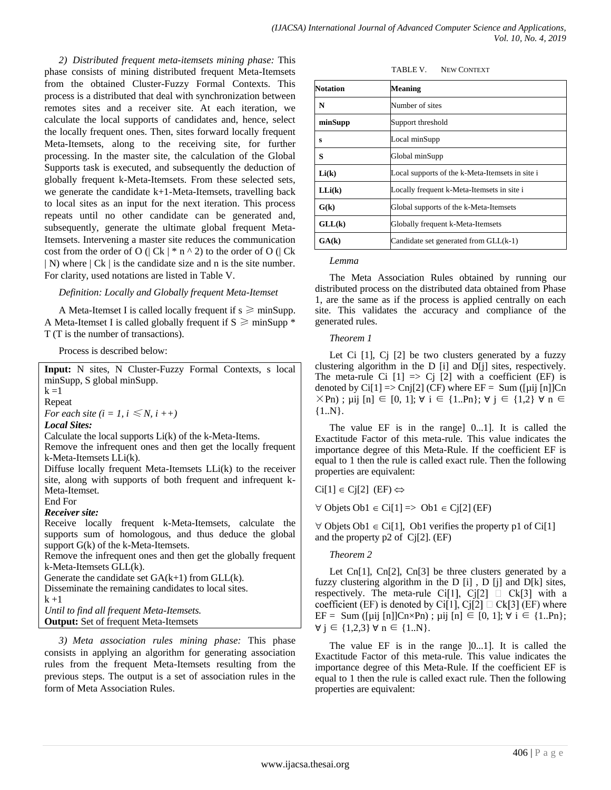*2) Distributed frequent meta-itemsets mining phase:* This phase consists of mining distributed frequent Meta-Itemsets from the obtained Cluster-Fuzzy Formal Contexts. This process is a distributed that deal with synchronization between remotes sites and a receiver site. At each iteration, we calculate the local supports of candidates and, hence, select the locally frequent ones. Then, sites forward locally frequent Meta-Itemsets, along to the receiving site, for further processing. In the master site, the calculation of the Global Supports task is executed, and subsequently the deduction of globally frequent k-Meta-Itemsets. From these selected sets, we generate the candidate k+1-Meta-Itemsets, travelling back to local sites as an input for the next iteration. This process repeats until no other candidate can be generated and, subsequently, generate the ultimate global frequent Meta-Itemsets. Intervening a master site reduces the communication cost from the order of O (| Ck |  $*$  n  $\land$  2) to the order of O (| Ck | N) where  $|Ck|$  is the candidate size and n is the site number. For clarity, used notations are listed in Table V.

## *Definition: Locally and Globally frequent Meta-Itemset*

A Meta-Itemset I is called locally frequent if  $s \geq \text{minSupp.}$ A Meta-Itemset I is called globally frequent if  $S \geq \text{minSupp}$  \* T (T is the number of transactions).

Process is described below:

**Input:** N sites, N Cluster-Fuzzy Formal Contexts, s local minSupp, S global minSupp.  $k = 1$ Repeat *For each site (i = 1, i*  $\leq N$ *, i ++) Local Sites:* Calculate the local supports Li(k) of the k-Meta-Items. Remove the infrequent ones and then get the locally frequent k-Meta-Itemsets LLi(k). Diffuse locally frequent Meta-Itemsets LLi(k) to the receiver site, along with supports of both frequent and infrequent k-Meta-Itemset. End For *Receiver site:* Receive locally frequent k-Meta-Itemsets, calculate the supports sum of homologous, and thus deduce the global support G(k) of the k-Meta-Itemsets. Remove the infrequent ones and then get the globally frequent k-Meta-Itemsets GLL(k). Generate the candidate set  $GA(k+1)$  from  $GLL(k)$ . Disseminate the remaining candidates to local sites.  $k + 1$ *Until to find all frequent Meta-Itemsets.* **Output:** Set of frequent Meta-Itemsets

*3) Meta association rules mining phase:* This phase consists in applying an algorithm for generating association rules from the frequent Meta-Itemsets resulting from the previous steps. The output is a set of association rules in the form of Meta Association Rules.

| TABLE V. | <b>NEW CONTEXT</b> |
|----------|--------------------|
|          |                    |

| <b>Notation</b> | Meaning                                         |  |
|-----------------|-------------------------------------------------|--|
| N               | Number of sites                                 |  |
| minSupp         | Support threshold                               |  |
| s               | Local minSupp                                   |  |
| S               | Global minSupp                                  |  |
| Li(k)           | Local supports of the k-Meta-Itemsets in site i |  |
| LLi(k)          | Locally frequent k-Meta-Itemsets in site i      |  |
| G(k)            | Global supports of the k-Meta-Itemsets          |  |
| GLL(k)          | Globally frequent k-Meta-Itemsets               |  |
| GA(k)           | Candidate set generated from GLL(k-1)           |  |

#### *Lemma*

The Meta Association Rules obtained by running our distributed process on the distributed data obtained from Phase 1, are the same as if the process is applied centrally on each site. This validates the accuracy and compliance of the generated rules.

#### *Theorem 1*

Let Ci  $[1]$ , C $[2]$  be two clusters generated by a fuzzy clustering algorithm in the D [i] and D[j] sites, respectively. The meta-rule Ci  $[1] \Rightarrow$  Cj  $[2]$  with a coefficient (EF) is denoted by Ci[1]  $\Rightarrow$  Cnj[2] (CF) where EF = Sum ([µij [n]]Cn  $\times$ Pn); µij [n]  $\in$  [0, 1];  $\forall$  i  $\in$  {1..Pn};  $\forall$  j  $\in$  {1,2}  $\forall$  n  $\in$  ${1..N}.$ 

The value EF is in the range] 0...1]. It is called the Exactitude Factor of this meta-rule. This value indicates the importance degree of this Meta-Rule. If the coefficient EF is equal to 1 then the rule is called exact rule. Then the following properties are equivalent:

 $Ci[1] \in Ci[2]$  (EF)  $\Leftrightarrow$ 

 $\forall$  Objets Ob1  $\in$  Ci[1]  $\Rightarrow$  Ob1  $\in$  Cj[2] (EF)

 $\forall$  Objets Ob1  $\in$  Ci[1], Ob1 verifies the property p1 of Ci[1] and the property p2 of Cj[2]. (EF)

## *Theorem 2*

Let Cn[1], Cn[2], Cn[3] be three clusters generated by a fuzzy clustering algorithm in the D [i] , D [j] and D[k] sites, respectively. The meta-rule Ci[1], Cj[2]  $\Box$  Ck[3] with a coefficient (EF) is denoted by Ci[1], Cj[2]  $\Box$  Ck[3] (EF) where EF = Sum ([µij [n]]Cn×Pn) ; µij [n]  $\in$  [0, 1];  $\forall$  i  $\in$  {1..Pn};  $\forall$  j ∈ {1,2,3}  $\forall$  n ∈ {1..N}.

The value EF is in the range [0...1]. It is called the Exactitude Factor of this meta-rule. This value indicates the importance degree of this Meta-Rule. If the coefficient EF is equal to 1 then the rule is called exact rule. Then the following properties are equivalent: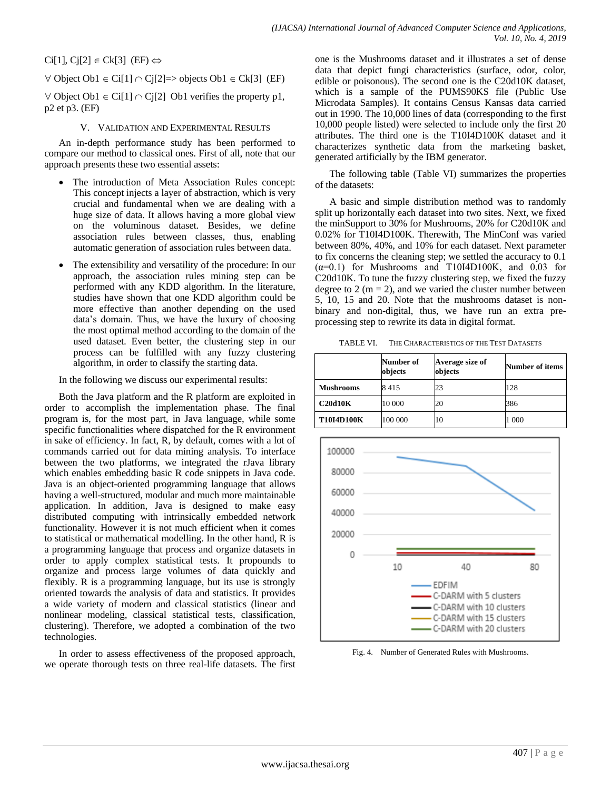$Ci[1], Cj[2] \in Ck[3]$  (EF)  $\Leftrightarrow$ 

 $\forall$  Object Ob1  $\in$  Ci[1]  $\cap$  Ci[2]=> objects Ob1  $\in$  Ck[3] (EF)

 $\forall$  Object Ob1  $\in$  Ci[1]  $\cap$  Cj[2] Ob1 verifies the property p1, p2 et p3. (EF)

# V. VALIDATION AND EXPERIMENTAL RESULTS

An in-depth performance study has been performed to compare our method to classical ones. First of all, note that our approach presents these two essential assets:

- The introduction of Meta Association Rules concept: This concept injects a layer of abstraction, which is very crucial and fundamental when we are dealing with a huge size of data. It allows having a more global view on the voluminous dataset. Besides, we define association rules between classes, thus, enabling automatic generation of association rules between data.
- The extensibility and versatility of the procedure: In our approach, the association rules mining step can be performed with any KDD algorithm. In the literature, studies have shown that one KDD algorithm could be more effective than another depending on the used data"s domain. Thus, we have the luxury of choosing the most optimal method according to the domain of the used dataset. Even better, the clustering step in our process can be fulfilled with any fuzzy clustering algorithm, in order to classify the starting data.

In the following we discuss our experimental results:

Both the Java platform and the R platform are exploited in order to accomplish the implementation phase. The final program is, for the most part, in Java language, while some specific functionalities where dispatched for the R environment in sake of efficiency. In fact, R, by default, comes with a lot of commands carried out for data mining analysis. To interface between the two platforms, we integrated the rJava library which enables embedding basic R code snippets in Java code. Java is an object-oriented programming language that allows having a well-structured, modular and much more maintainable application. In addition, Java is designed to make easy distributed computing with intrinsically embedded network functionality. However it is not much efficient when it comes to statistical or mathematical modelling. In the other hand, R is a programming language that process and organize datasets in order to apply complex statistical tests. It propounds to organize and process large volumes of data quickly and flexibly. R is a programming language, but its use is strongly oriented towards the analysis of data and statistics. It provides a wide variety of modern and classical statistics (linear and nonlinear modeling, classical statistical tests, classification, clustering). Therefore, we adopted a combination of the two technologies.

In order to assess effectiveness of the proposed approach, we operate thorough tests on three real-life datasets. The first one is the Mushrooms dataset and it illustrates a set of dense data that depict fungi characteristics (surface, odor, color, edible or poisonous). The second one is the C20d10K dataset, which is a sample of the PUMS90KS file (Public Use Microdata Samples). It contains Census Kansas data carried out in 1990. The 10,000 lines of data (corresponding to the first 10,000 people listed) were selected to include only the first 20 attributes. The third one is the T10I4D100K dataset and it characterizes synthetic data from the marketing basket, generated artificially by the IBM generator.

The following table (Table VI) summarizes the properties of the datasets:

A basic and simple distribution method was to randomly split up horizontally each dataset into two sites. Next, we fixed the minSupport to 30% for Mushrooms, 20% for C20d10K and 0.02% for T10I4D100K. Therewith, The MinConf was varied between 80%, 40%, and 10% for each dataset. Next parameter to fix concerns the cleaning step; we settled the accuracy to 0.1  $(\alpha=0.1)$  for Mushrooms and T10I4D100K, and 0.03 for C20d10K. To tune the fuzzy clustering step, we fixed the fuzzy degree to 2 ( $m = 2$ ), and we varied the cluster number between 5, 10, 15 and 20. Note that the mushrooms dataset is nonbinary and non-digital, thus, we have run an extra preprocessing step to rewrite its data in digital format.

TABLE VI. THE CHARACTERISTICS OF THE TEST DATASETS

|                   | Number of<br>objects | Average size of<br>objects | Number of items |
|-------------------|----------------------|----------------------------|-----------------|
| <b>Mushrooms</b>  | 8415                 | 23                         | 128             |
| C20d10K           | 10 000               | 20                         | 386             |
| <b>T10I4D100K</b> | 100 000              | 10                         | 1 000           |



Fig. 4. Number of Generated Rules with Mushrooms.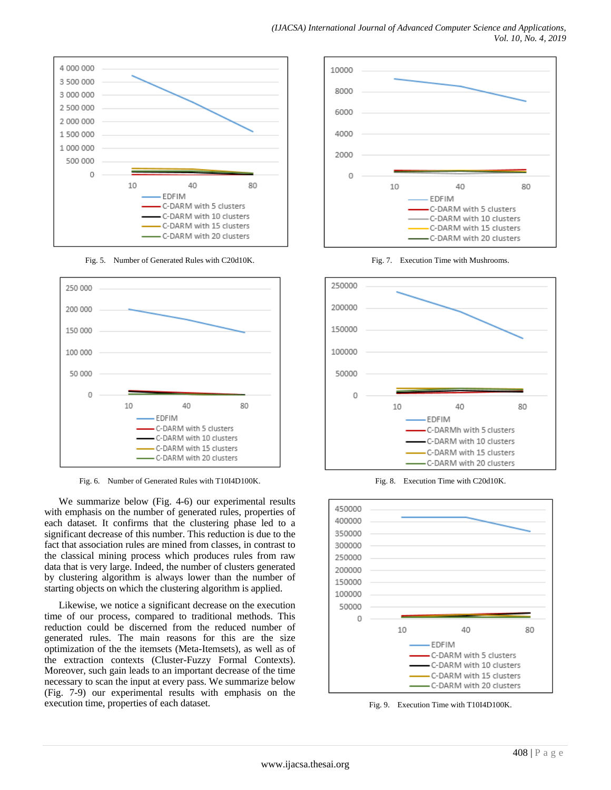

Fig. 5. Number of Generated Rules with C20d10K.



Fig. 6. Number of Generated Rules with T10I4D100K.

We summarize below (Fig. 4-6) our experimental results with emphasis on the number of generated rules, properties of each dataset. It confirms that the clustering phase led to a significant decrease of this number. This reduction is due to the fact that association rules are mined from classes, in contrast to the classical mining process which produces rules from raw data that is very large. Indeed, the number of clusters generated by clustering algorithm is always lower than the number of starting objects on which the clustering algorithm is applied.

Likewise, we notice a significant decrease on the execution time of our process, compared to traditional methods. This reduction could be discerned from the reduced number of generated rules. The main reasons for this are the size optimization of the the itemsets (Meta-Itemsets), as well as of the extraction contexts (Cluster-Fuzzy Formal Contexts). Moreover, such gain leads to an important decrease of the time necessary to scan the input at every pass. We summarize below (Fig. 7-9) our experimental results with emphasis on the execution time, properties of each dataset.



Fig. 7. Execution Time with Mushrooms.



Fig. 8. Execution Time with C20d10K.



Fig. 9. Execution Time with T10I4D100K.